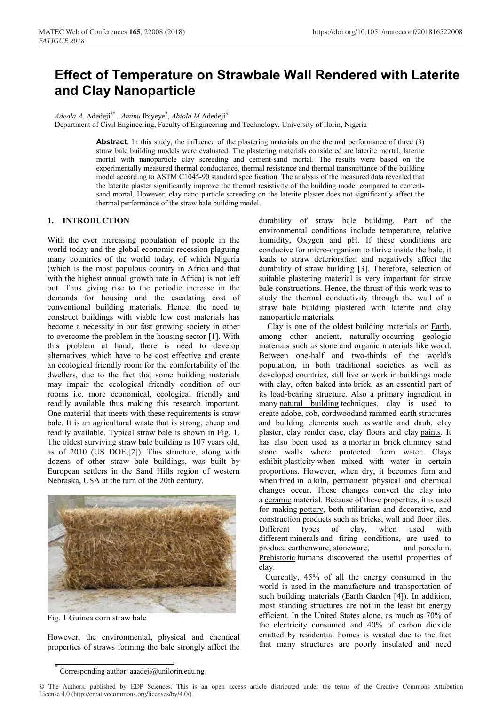# **Effect of Temperature on Strawbale Wall Rendered with Laterite and Clay Nanoparticle**

*Adeola A.* Adedeji<sup>3\*</sup>, *Aminu Ibiyeye<sup>2</sup>, Abiola M* Adedeji<sup>3</sup>

Department of Civil Engineering, Faculty of Engineering and Technology, University of Ilorin, Nigeria

**Abstract**. In this study, the influence of the plastering materials on the thermal performance of three (3) straw bale building models were evaluated. The plastering materials considered are laterite mortal, laterite mortal with nanoparticle clay screeding and cement-sand mortal. The results were based on the experimentally measured thermal conductance, thermal resistance and thermal transmittance of the building model according to ASTM C1045-90 standard specification. The analysis of the measured data revealed that the laterite plaster significantly improve the thermal resistivity of the building model compared to cementsand mortal. However, clay nano particle screeding on the laterite plaster does not significantly affect the thermal performance of the straw bale building model.

## **1. INTRODUCTION**

With the ever increasing population of people in the world today and the global economic recession plaguing many countries of the world today, of which Nigeria (which is the most populous country in Africa and that with the highest annual growth rate in Africa) is not left out. Thus giving rise to the periodic increase in the demands for housing and the escalating cost of conventional building materials. Hence, the need to construct buildings with viable low cost materials has become a necessity in our fast growing society in other to overcome the problem in the housing sector [1]. With this problem at hand, there is need to develop alternatives, which have to be cost effective and create an ecological friendly room for the comfortability of the dwellers, due to the fact that some building materials may impair the ecological friendly condition of our rooms i.e. more economical, ecological friendly and readily available thus making this research important. One material that meets with these requirements is straw bale. It is an agricultural waste that is strong, cheap and readily available. Typical straw bale is shown in Fig. 1. The oldest surviving straw bale building is 107 years old, as of 2010 (US DOE,[2]). This structure, along with dozens of other straw bale buildings, was built by European settlers in the Sand Hills region of western Nebraska, USA at the turn of the 20th century.



Fig. 1 Guinea corn straw bale

However, the environmental, physical and chemical properties of straws forming the bale strongly affect the

durability of straw bale building. Part of the environmental conditions include temperature, relative humidity, Oxygen and pH. If these conditions are conducive for micro-organism to thrive inside the bale, it leads to straw deterioration and negatively affect the durability of straw building [3]. Therefore, selection of suitable plastering material is very important for straw bale constructions. Hence, the thrust of this work was to study the thermal conductivity through the wall of a straw bale building plastered with laterite and clay nanoparticle materials.

Clay is one of the oldest building materials on Earth, among other ancient, naturally-occurring geologic materials such as stone and organic materials like wood. Between one-half and two-thirds of the world's population, in both traditional societies as well as developed countries, still live or work in buildings made with clay, often baked into brick, as an essential part of its load-bearing structure. Also a primary ingredient in many natural building techniques, clay is used to create adobe, cob, cordwoodand rammed earth structures and building elements such as wattle and daub, clay plaster, clay render case, clay floors and clay paints. It has also been used as a mortar in brick chimney sand stone walls where protected from water. Clays exhibit plasticity when mixed with water in certain proportions. However, when dry, it becomes firm and when fired in a kiln, permanent physical and chemical changes occur. These changes convert the clay into a ceramic material. Because of these properties, it is used for making pottery, both utilitarian and decorative, and construction products such as bricks, wall and floor tiles. Different types of clay, when used with different minerals and firing conditions, are used to produce earthenware, stoneware, and porcelain. Prehistoric humans discovered the useful properties of clay.

Currently, 45% of all the energy consumed in the world is used in the manufacture and transportation of such building materials (Earth Garden [4]). In addition, most standing structures are not in the least bit energy efficient. In the United States alone, as much as 70% of the electricity consumed and 40% of carbon dioxide emitted by residential homes is wasted due to the fact that many structures are poorly insulated and need

Corresponding author: aaadeji@unilorin.edu.ng

<sup>©</sup> The Authors, published by EDP Sciences. This is an open access article distributed under the terms of the Creative Commons Attribution License 4.0 (http://creativecommons.org/licenses/by/4.0/).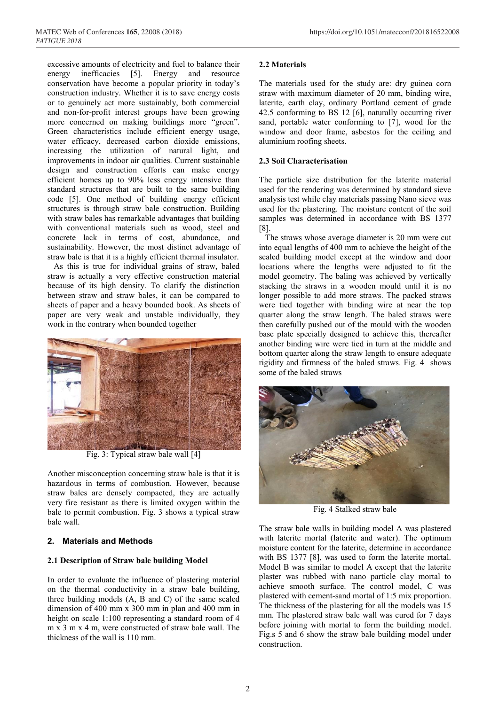excessive amounts of electricity and fuel to balance their energy inefficacies [5]. Energy and resource conservation have become a popular priority in today's construction industry. Whether it is to save energy costs or to genuinely act more sustainably, both commercial and non-for-profit interest groups have been growing more concerned on making buildings more "green". Green characteristics include efficient energy usage, water efficacy, decreased carbon dioxide emissions, increasing the utilization of natural light, and improvements in indoor air qualities. Current sustainable design and construction efforts can make energy efficient homes up to 90% less energy intensive than standard structures that are built to the same building code [5]. One method of building energy efficient structures is through straw bale construction. Building with straw bales has remarkable advantages that building with conventional materials such as wood, steel and concrete lack in terms of cost, abundance, and sustainability. However, the most distinct advantage of straw bale is that it is a highly efficient thermal insulator.

As this is true for individual grains of straw, baled straw is actually a very effective construction material because of its high density. To clarify the distinction between straw and straw bales, it can be compared to sheets of paper and a heavy bounded book. As sheets of paper are very weak and unstable individually, they work in the contrary when bounded together



Fig. 3: Typical straw bale wall [4]

Another misconception concerning straw bale is that it is hazardous in terms of combustion. However, because straw bales are densely compacted, they are actually very fire resistant as there is limited oxygen within the bale to permit combustion. Fig. 3 shows a typical straw bale wall.

## **2. Materials and Methods**

## **2.1 Description of Straw bale building Model**

In order to evaluate the influence of plastering material on the thermal conductivity in a straw bale building, three building models (A, B and C) of the same scaled dimension of 400 mm x 300 mm in plan and 400 mm in height on scale 1:100 representing a standard room of 4 m x 3 m x 4 m, were constructed of straw bale wall. The thickness of the wall is 110 mm.

# **2.2 Materials**

The materials used for the study are: dry guinea corn straw with maximum diameter of 20 mm, binding wire, laterite, earth clay, ordinary Portland cement of grade 42.5 conforming to BS 12 [6], naturally occurring river sand, portable water conforming to [7], wood for the window and door frame, asbestos for the ceiling and aluminium roofing sheets.

# **2.3 Soil Characterisation**

The particle size distribution for the laterite material used for the rendering was determined by standard sieve analysis test while clay materials passing Nano sieve was used for the plastering. The moisture content of the soil samples was determined in accordance with BS 1377 [8].

The straws whose average diameter is 20 mm were cut into equal lengths of 400 mm to achieve the height of the scaled building model except at the window and door locations where the lengths were adjusted to fit the model geometry. The baling was achieved by vertically stacking the straws in a wooden mould until it is no longer possible to add more straws. The packed straws were tied together with binding wire at near the top quarter along the straw length. The baled straws were then carefully pushed out of the mould with the wooden base plate specially designed to achieve this, thereafter another binding wire were tied in turn at the middle and bottom quarter along the straw length to ensure adequate rigidity and firmness of the baled straws. Fig. 4 shows some of the baled straws



Fig. 4 Stalked straw bale

The straw bale walls in building model A was plastered with laterite mortal (laterite and water). The optimum moisture content for the laterite, determine in accordance with BS 1377 [8], was used to form the laterite mortal. Model B was similar to model A except that the laterite plaster was rubbed with nano particle clay mortal to achieve smooth surface. The control model, C was plastered with cement-sand mortal of 1:5 mix proportion. The thickness of the plastering for all the models was 15 mm. The plastered straw bale wall was cured for 7 days before joining with mortal to form the building model. Fig.s 5 and 6 show the straw bale building model under construction.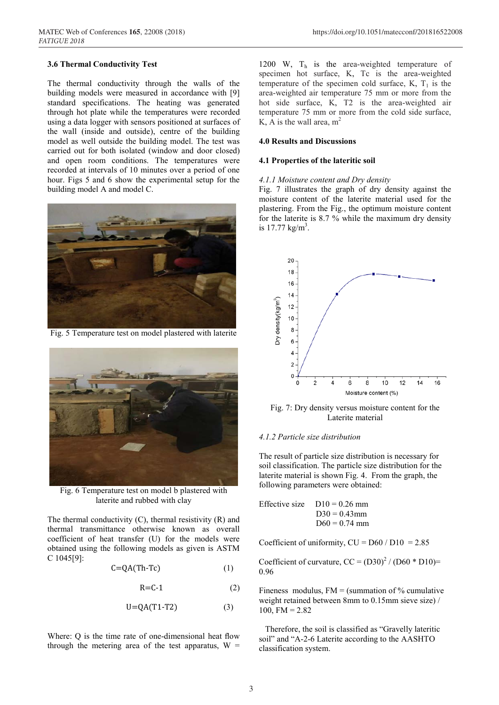#### **3.6 Thermal Conductivity Test**

The thermal conductivity through the walls of the building models were measured in accordance with [9] standard specifications. The heating was generated through hot plate while the temperatures were recorded using a data logger with sensors positioned at surfaces of the wall (inside and outside), centre of the building model as well outside the building model. The test was carried out for both isolated (window and door closed) and open room conditions. The temperatures were recorded at intervals of 10 minutes over a period of one hour. Figs 5 and 6 show the experimental setup for the building model A and model C.



Fig. 5 Temperature test on model plastered with laterite



Fig. 6 Temperature test on model b plastered with laterite and rubbed with clay

The thermal conductivity (C), thermal resistivity (R) and thermal transmittance otherwise known as overall coefficient of heat transfer (U) for the models were obtained using the following models as given is ASTM C 1045[9]:

$$
C = QA(Th-Te)
$$
 (1)

$$
R = C - 1 \tag{2}
$$

$$
U = QA(T1-T2) \tag{3}
$$

Where: Q is the time rate of one-dimensional heat flow through the metering area of the test apparatus,  $W =$ 

1200 W, Th is the area-weighted temperature of specimen hot surface, K, Tc is the area-weighted temperature of the specimen cold surface,  $K$ ,  $T_1$  is the area-weighted air temperature 75 mm or more from the hot side surface, K, T2 is the area-weighted air temperature 75 mm or more from the cold side surface, K, A is the wall area,  $m<sup>2</sup>$ 

#### **4.0 Results and Discussions**

#### **4.1 Properties of the lateritic soil**

#### *4.1.1 Moisture content and Dry density*

Fig. 7 illustrates the graph of dry density against the moisture content of the laterite material used for the plastering. From the Fig., the optimum moisture content for the laterite is 8.7 % while the maximum dry density is  $17.77 \text{ kg/m}^3$ .



Fig. 7: Dry density versus moisture content for the Laterite material

#### *4.1.2 Particle size distribution*

The result of particle size distribution is necessary for soil classification. The particle size distribution for the laterite material is shown Fig. 4. From the graph, the following parameters were obtained:

Effective size 
$$
D10 = 0.26
$$
 mm  
 $D30 = 0.43$  mm  
 $D60 = 0.74$  mm

Coefficient of uniformity,  $CU = D60 / D10 = 2.85$ 

Coefficient of curvature,  $CC = (D30)^2 / (D60 * D10) =$ 0.96

Fineness modulus,  $FM = (summ of % cumulative)$ weight retained between 8mm to 0.15mm sieve size) / 100, FM =  $2.82$ 

Therefore, the soil is classified as "Gravelly lateritic soil" and "A-2-6 Laterite according to the AASHTO classification system.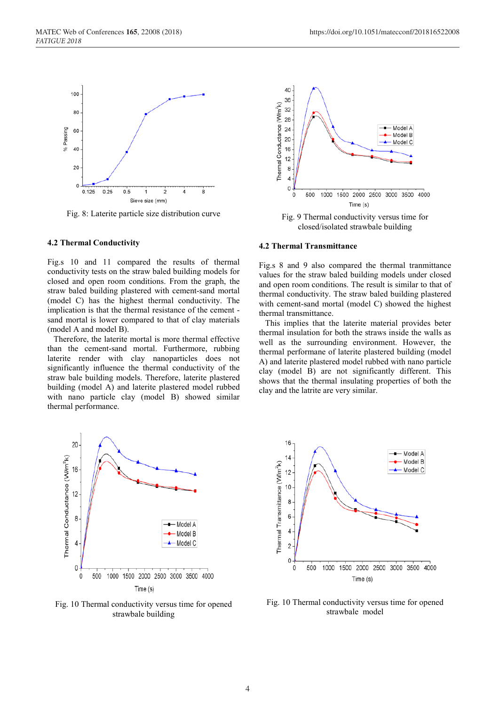

Fig. 8: Laterite particle size distribution curve

#### **4.2 Thermal Conductivity**

Fig.s 10 and 11 compared the results of thermal conductivity tests on the straw baled building models for closed and open room conditions. From the graph, the straw baled building plastered with cement-sand mortal (model C) has the highest thermal conductivity. The implication is that the thermal resistance of the cement sand mortal is lower compared to that of clay materials (model A and model B).

Therefore, the laterite mortal is more thermal effective than the cement-sand mortal. Furthermore, rubbing laterite render with clay nanoparticles does not significantly influence the thermal conductivity of the straw bale building models. Therefore, laterite plastered building (model A) and laterite plastered model rubbed with nano particle clay (model B) showed similar thermal performance.



Fig. 9 Thermal conductivity versus time for closed/isolated strawbale building

#### **4.2 Thermal Transmittance**

Fig.s 8 and 9 also compared the thermal tranmittance values for the straw baled building models under closed and open room conditions. The result is similar to that of thermal conductivity. The straw baled building plastered with cement-sand mortal (model C) showed the highest thermal transmittance.

This implies that the laterite material provides beter thermal insulation for both the straws inside the walls as well as the surrounding environment. However, the thermal performane of laterite plastered building (model A) and laterite plastered model rubbed with nano particle clay (model B) are not significantly different. This shows that the thermal insulating properties of both the clay and the latrite are very similar.



Fig. 10 Thermal conductivity versus time for opened strawbale building



Fig. 10 Thermal conductivity versus time for opened strawbale model